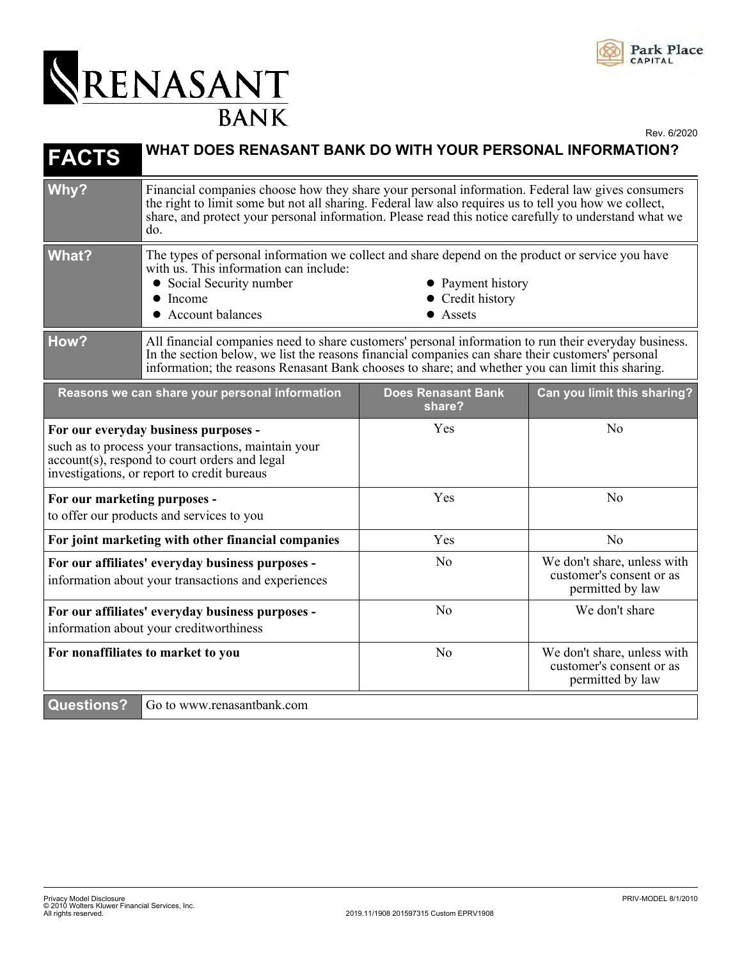

## RENASANT

Rev. 6/2020

| <b>FACTS</b>                                                                                                                                                                                | WHAT DOES RENASANT BANK DO WITH YOUR PERSONAL INFORMATION?                                                                                                                                                                                                                                                                |                                                   |                                                                             |
|---------------------------------------------------------------------------------------------------------------------------------------------------------------------------------------------|---------------------------------------------------------------------------------------------------------------------------------------------------------------------------------------------------------------------------------------------------------------------------------------------------------------------------|---------------------------------------------------|-----------------------------------------------------------------------------|
| Why?                                                                                                                                                                                        | Financial companies choose how they share your personal information. Federal law gives consumers<br>the right to limit some but not all sharing. Federal law also requires us to tell you how we collect,<br>share, and protect your personal information. Please read this notice carefully to understand what we<br>do. |                                                   |                                                                             |
| <b>What?</b>                                                                                                                                                                                | The types of personal information we collect and share depend on the product or service you have<br>with us. This information can include:<br>• Social Security number<br>$\bullet$ Income<br>• Account balances                                                                                                          | • Payment history<br>• Credit history<br>• Assets |                                                                             |
| How?                                                                                                                                                                                        | All financial companies need to share customers' personal information to run their everyday business.<br>In the section below, we list the reasons financial companies can share their customers' personal<br>information; the reasons Renasant Bank chooses to share; and whether you can limit this sharing.            |                                                   |                                                                             |
|                                                                                                                                                                                             | Reasons we can share your personal information                                                                                                                                                                                                                                                                            | <b>Does Renasant Bank</b><br>share?               | Can you limit this sharing?                                                 |
| For our everyday business purposes -<br>such as to process your transactions, maintain your<br>account(s), respond to court orders and legal<br>investigations, or report to credit bureaus |                                                                                                                                                                                                                                                                                                                           | Yes                                               | N <sub>0</sub>                                                              |
| For our marketing purposes -<br>to offer our products and services to you                                                                                                                   |                                                                                                                                                                                                                                                                                                                           | Yes                                               | N <sub>o</sub>                                                              |
| For joint marketing with other financial companies                                                                                                                                          |                                                                                                                                                                                                                                                                                                                           | Yes                                               | N <sub>o</sub>                                                              |
| For our affiliates' everyday business purposes -<br>information about your transactions and experiences                                                                                     |                                                                                                                                                                                                                                                                                                                           | No                                                | We don't share, unless with<br>customer's consent or as<br>permitted by law |
| For our affiliates' everyday business purposes -<br>information about your creditworthiness                                                                                                 |                                                                                                                                                                                                                                                                                                                           | N <sub>o</sub>                                    | We don't share                                                              |
| For nonaffiliates to market to you                                                                                                                                                          |                                                                                                                                                                                                                                                                                                                           | N <sub>o</sub>                                    | We don't share, unless with<br>customer's consent or as<br>permitted by law |
| <b>Questions?</b>                                                                                                                                                                           | Go to www.renasantbank.com                                                                                                                                                                                                                                                                                                |                                                   |                                                                             |